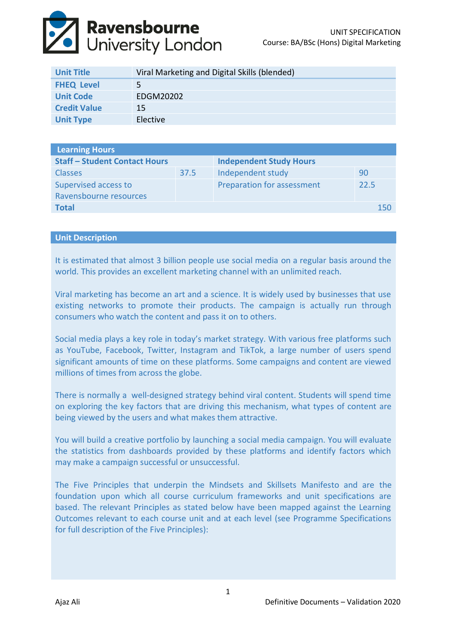# **Ravensbourne**<br>University London

| <b>Unit Title</b>   | Viral Marketing and Digital Skills (blended) |
|---------------------|----------------------------------------------|
| <b>FHEQ Level</b>   | 5.                                           |
| <b>Unit Code</b>    | EDGM20202                                    |
| <b>Credit Value</b> | 15                                           |
| <b>Unit Type</b>    | Elective                                     |

| <b>Learning Hours</b>                |      |                                |      |  |  |
|--------------------------------------|------|--------------------------------|------|--|--|
| <b>Staff - Student Contact Hours</b> |      | <b>Independent Study Hours</b> |      |  |  |
| <b>Classes</b>                       | 37.5 | Independent study              | 90   |  |  |
| Supervised access to                 |      | Preparation for assessment     | 22.5 |  |  |
| Ravensbourne resources               |      |                                |      |  |  |
| <b>Total</b>                         |      |                                | 150  |  |  |

# **Unit Description**

It is estimated that almost 3 billion people use social media on a regular basis around the world. This provides an excellent marketing channel with an unlimited reach.

Viral marketing has become an art and a science. It is widely used by businesses that use existing networks to promote their products. The campaign is actually run through consumers who watch the content and pass it on to others.

Social media plays a key role in today's market strategy. With various free platforms such as YouTube, Facebook, Twitter, Instagram and TikTok, a large number of users spend significant amounts of time on these platforms. Some campaigns and content are viewed millions of times from across the globe.

There is normally a well-designed strategy behind viral content. Students will spend time on exploring the key factors that are driving this mechanism, what types of content are being viewed by the users and what makes them attractive.

You will build a creative portfolio by launching a social media campaign. You will evaluate the statistics from dashboards provided by these platforms and identify factors which may make a campaign successful or unsuccessful.

The Five Principles that underpin the Mindsets and Skillsets Manifesto and are the foundation upon which all course curriculum frameworks and unit specifications are based. The relevant Principles as stated below have been mapped against the Learning Outcomes relevant to each course unit and at each level (see Programme Specifications for full description of the Five Principles):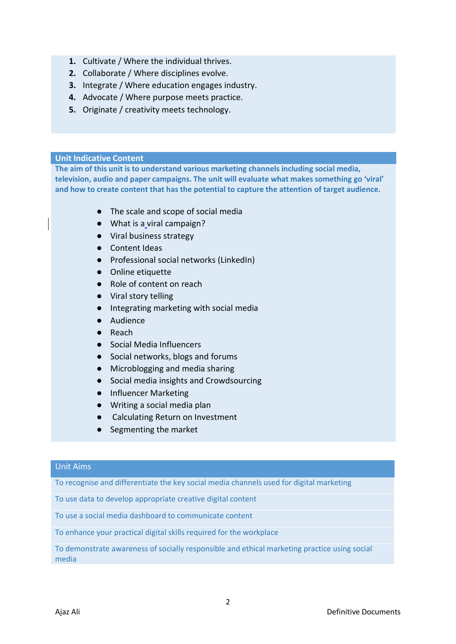- **1.** Cultivate / Where the individual thrives.
- **2.** Collaborate / Where disciplines evolve.
- **3.** Integrate / Where education engages industry.
- **4.** Advocate / Where purpose meets practice.
- **5.** Originate / creativity meets technology.

# **Unit Indicative Content**

**The aim of this unit is to understand various marketing channels including social media, television, audio and paper campaigns. The unit will evaluate what makes something go 'viral' and how to create content that has the potential to capture the attention of target audience.** 

- The scale and scope of social media
- What is a viral campaign?
- Viral business strategy
- Content Ideas
- Professional social networks (LinkedIn)
- Online etiquette
- Role of content on reach
- Viral story telling
- Integrating marketing with social media
- Audience
- Reach
- Social Media Influencers
- Social networks, blogs and forums
- Microblogging and media sharing
- Social media insights and Crowdsourcing
- Influencer Marketing
- Writing a social media plan
- Calculating Return on Investment
- Segmenting the market

## Unit Aims

To recognise and differentiate the key social media channels used for digital marketing

To use data to develop appropriate creative digital content

To use a social media dashboard to communicate content

To enhance your practical digital skills required for the workplace

To demonstrate awareness of socially responsible and ethical marketing practice using social media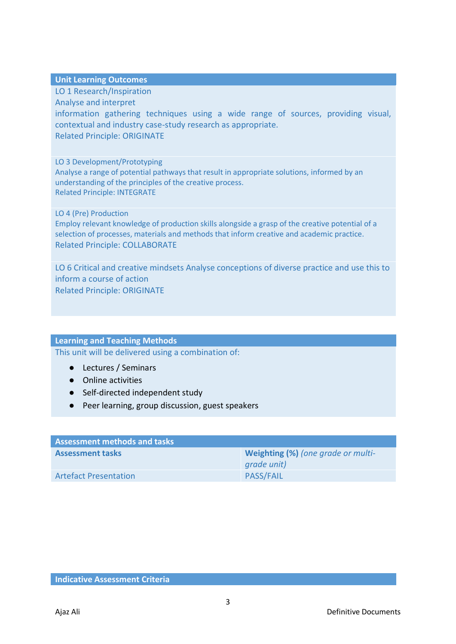**Unit Learning Outcomes**

LO 1 Research/Inspiration

Analyse and interpret

information gathering techniques using a wide range of sources, providing visual, contextual and industry case-study research as appropriate. Related Principle: ORIGINATE

LO 3 Development/Prototyping

Analyse a range of potential pathways that result in appropriate solutions, informed by an understanding of the principles of the creative process. Related Principle: INTEGRATE

LO 4 (Pre) Production

Employ relevant knowledge of production skills alongside a grasp of the creative potential of a selection of processes, materials and methods that inform creative and academic practice. Related Principle: COLLABORATE

LO 6 Critical and creative mindsets Analyse conceptions of diverse practice and use this to inform a course of action Related Principle: ORIGINATE

# **Learning and Teaching Methods**

This unit will be delivered using a combination of:

- Lectures / Seminars
- Online activities
- Self-directed independent study
- Peer learning, group discussion, guest speakers

| <b>Assessment methods and tasks</b> |                                    |  |  |
|-------------------------------------|------------------------------------|--|--|
| <b>Assessment tasks</b>             | Weighting (%) (one grade or multi- |  |  |
|                                     | grade unit)                        |  |  |
| <b>Artefact Presentation</b>        | <b>PASS/FAIL</b>                   |  |  |